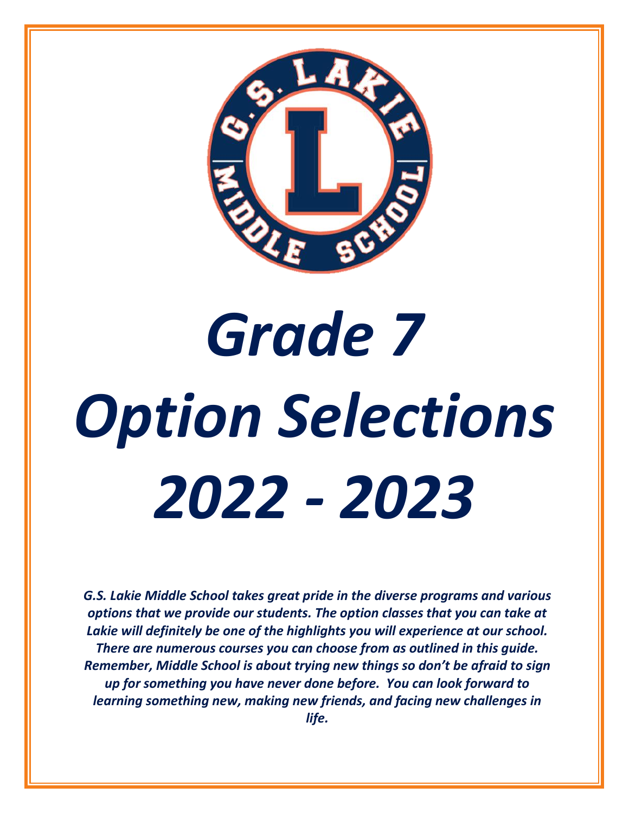

# *Grade 7 Option Selections 2022 - 2023*

*G.S. Lakie Middle School takes great pride in the diverse programs and various options that we provide our students. The option classes that you can take at Lakie will definitely be one of the highlights you will experience at our school. There are numerous courses you can choose from as outlined in this guide. Remember, Middle School is about trying new things so don't be afraid to sign up for something you have never done before. You can look forward to learning something new, making new friends, and facing new challenges in life.*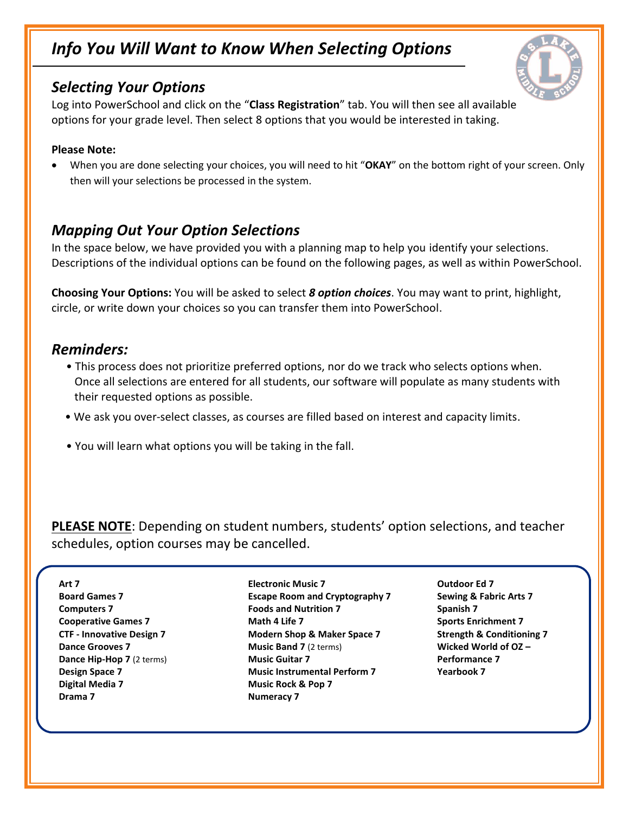### *Info You Will Want to Know When Selecting Options*

#### *Selecting Your Options*

Log into PowerSchool and click on the "**Class Registration**" tab. You will then see all available options for your grade level. Then select 8 options that you would be interested in taking.

#### **Please Note:**

• When you are done selecting your choices, you will need to hit "**OKAY**" on the bottom right of your screen. Only then will your selections be processed in the system.

#### *Mapping Out Your Option Selections*

In the space below, we have provided you with a planning map to help you identify your selections. Descriptions of the individual options can be found on the following pages, as well as within PowerSchool.

**Choosing Your Options:** You will be asked to select *8 option choices*. You may want to print, highlight, circle, or write down your choices so you can transfer them into PowerSchool.

#### *Reminders:*

- This process does not prioritize preferred options, nor do we track who selects options when. Once all selections are entered for all students, our software will populate as many students with their requested options as possible.
- We ask you over-select classes, as courses are filled based on interest and capacity limits.
- You will learn what options you will be taking in the fall.

**PLEASE NOTE**: Depending on student numbers, students' option selections, and teacher schedules, option courses may be cancelled.

**Art 7 Board Games 7 Computers 7 Cooperative Games 7 CTF - Innovative Design 7 Dance Grooves 7 Dance Hip-Hop 7** (2 terms) **Design Space 7 Digital Media 7 Drama 7**

**Electronic Music 7 Escape Room and Cryptography 7 Foods and Nutrition 7 Math 4 Life 7 Modern Shop & Maker Space 7 Music Band 7** (2 terms) **Music Guitar 7 Music Instrumental Perform 7 Music Rock & Pop 7 Numeracy 7**

**Outdoor Ed 7 Sewing & Fabric Arts 7 Spanish 7 Sports Enrichment 7 Strength & Conditioning 7 Wicked World of OZ – Performance 7 Yearbook 7**

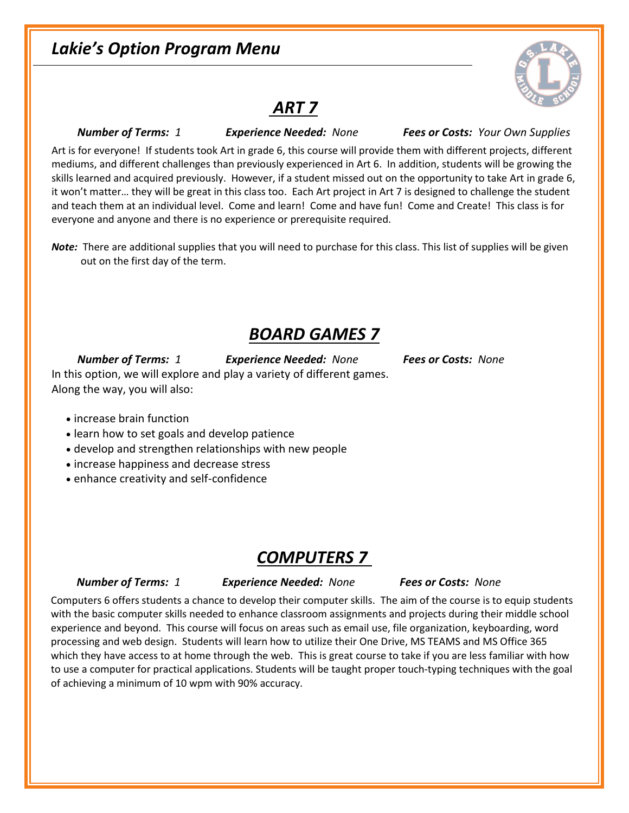### *Lakie's Option Program Menu*



### *ART 7*

 *Number of Terms: 1 Experience Needed: None Fees or Costs: Your Own Supplies*

Art is for everyone! If students took Art in grade 6, this course will provide them with different projects, different mediums, and different challenges than previously experienced in Art 6. In addition, students will be growing the skills learned and acquired previously. However, if a student missed out on the opportunity to take Art in grade 6, it won't matter… they will be great in this class too. Each Art project in Art 7 is designed to challenge the student and teach them at an individual level. Come and learn! Come and have fun! Come and Create! This class is for everyone and anyone and there is no experience or prerequisite required.

*Note:* There are additional supplies that you will need to purchase for this class. This list of supplies will be given out on the first day of the term.

### *BOARD GAMES 7*

 *Number of Terms: 1 Experience Needed: None Fees or Costs: None* In this option, we will explore and play a variety of different games. Along the way, you will also:

- increase brain function
- learn how to set goals and develop patience
- develop and strengthen relationships with new people
- increase happiness and decrease stress
- enhance creativity and self-confidence

### *COMPUTERS 7*

#### *Number of Terms: 1 Experience Needed: None Fees or Costs: None*

Computers 6 offers students a chance to develop their computer skills. The aim of the course is to equip students with the basic computer skills needed to enhance classroom assignments and projects during their middle school experience and beyond. This course will focus on areas such as email use, file organization, keyboarding, word processing and web design. Students will learn how to utilize their One Drive, MS TEAMS and MS Office 365 which they have access to at home through the web. This is great course to take if you are less familiar with how to use a computer for practical applications. Students will be taught proper touch-typing techniques with the goal of achieving a minimum of 10 wpm with 90% accuracy.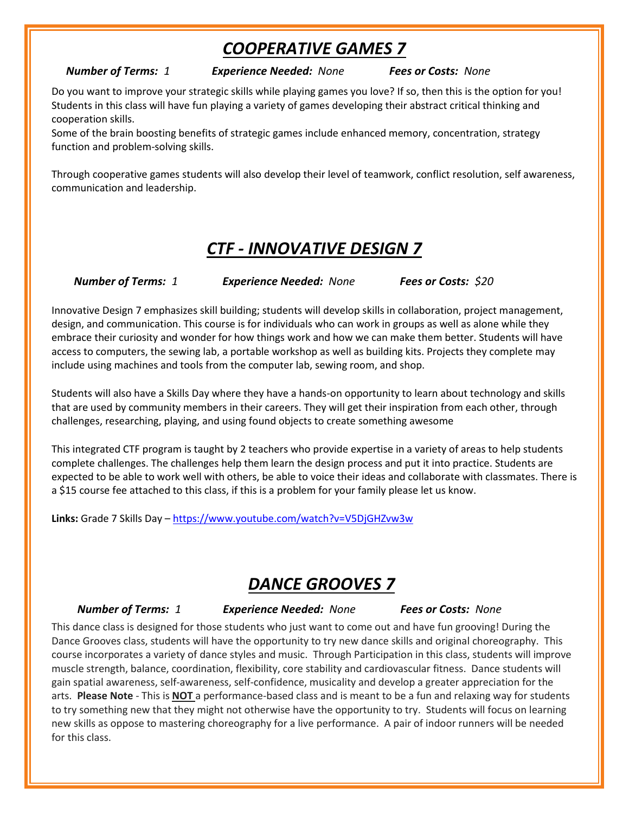### *COOPERATIVE GAMES 7*

*Number of Terms: 1 Experience Needed: None Fees or Costs: None*

Do you want to improve your strategic skills while playing games you love? If so, then this is the option for you! Students in this class will have fun playing a variety of games developing their abstract critical thinking and cooperation skills.

Some of the brain boosting benefits of strategic games include enhanced memory, concentration, strategy function and problem-solving skills.

Through cooperative games students will also develop their level of teamwork, conflict resolution, self awareness, communication and leadership.

### *CTF - INNOVATIVE DESIGN 7*

*Number of Terms: 1 Experience Needed: None Fees or Costs: \$20*

Innovative Design 7 emphasizes skill building; students will develop skills in collaboration, project management, design, and communication. This course is for individuals who can work in groups as well as alone while they embrace their curiosity and wonder for how things work and how we can make them better. Students will have access to computers, the sewing lab, a portable workshop as well as building kits. Projects they complete may include using machines and tools from the computer lab, sewing room, and shop.

Students will also have a Skills Day where they have a hands-on opportunity to learn about technology and skills that are used by community members in their careers. They will get their inspiration from each other, through challenges, researching, playing, and using found objects to create something awesome

This integrated CTF program is taught by 2 teachers who provide expertise in a variety of areas to help students complete challenges. The challenges help them learn the design process and put it into practice. Students are expected to be able to work well with others, be able to voice their ideas and collaborate with classmates. There is a \$15 course fee attached to this class, if this is a problem for your family please let us know.

**Links:** Grade 7 Skills Day – <https://www.youtube.com/watch?v=V5DjGHZvw3w>

# *DANCE GROOVES 7*

 *Number of Terms: 1 Experience Needed: None Fees or Costs: None*

This dance class is designed for those students who just want to come out and have fun grooving! During the Dance Grooves class, students will have the opportunity to try new dance skills and original choreography. This course incorporates a variety of dance styles and music. Through Participation in this class, students will improve muscle strength, balance, coordination, flexibility, core stability and cardiovascular fitness. Dance students will gain spatial awareness, self-awareness, self-confidence, musicality and develop a greater appreciation for the arts. **Please Note** - This is **NOT** a performance-based class and is meant to be a fun and relaxing way for students to try something new that they might not otherwise have the opportunity to try. Students will focus on learning new skills as oppose to mastering choreography for a live performance. A pair of indoor runners will be needed for this class.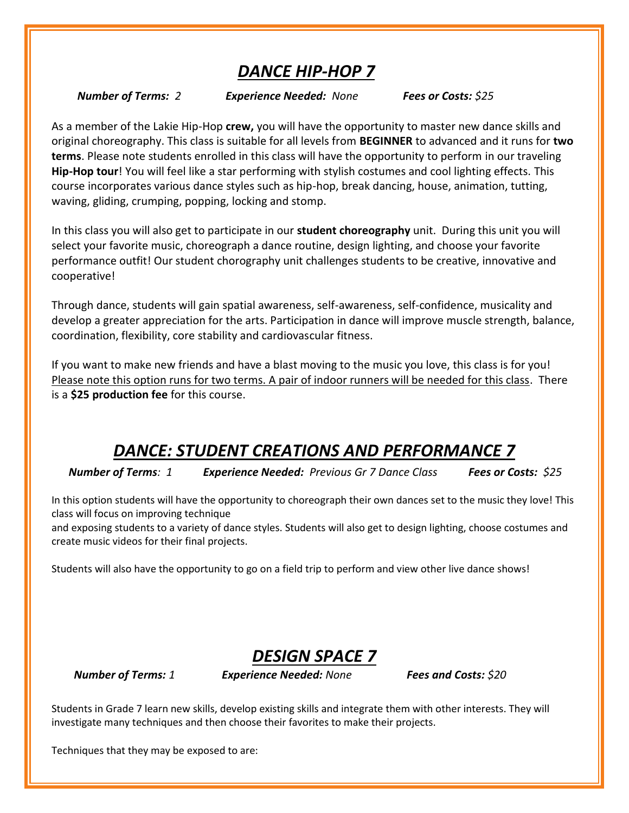# *DANCE HIP-HOP 7*

 *Number of Terms: 2 Experience Needed: None Fees or Costs: \$25*

As a member of the Lakie Hip-Hop **crew,** you will have the opportunity to master new dance skills and original choreography. This class is suitable for all levels from **BEGINNER** to advanced and it runs for **two terms**. Please note students enrolled in this class will have the opportunity to perform in our traveling **Hip-Hop tour**! You will feel like a star performing with stylish costumes and cool lighting effects. This course incorporates various dance styles such as hip-hop, break dancing, house, animation, tutting, waving, gliding, crumping, popping, locking and stomp.

In this class you will also get to participate in our **student choreography** unit. During this unit you will select your favorite music, choreograph a dance routine, design lighting, and choose your favorite performance outfit! Our student chorography unit challenges students to be creative, innovative and cooperative!

Through dance, students will gain spatial awareness, self-awareness, self-confidence, musicality and develop a greater appreciation for the arts. Participation in dance will improve muscle strength, balance, coordination, flexibility, core stability and cardiovascular fitness.

If you want to make new friends and have a blast moving to the music you love, this class is for you! Please note this option runs for two terms. A pair of indoor runners will be needed for this class. There is a **\$25 production fee** for this course.

# *DANCE: STUDENT CREATIONS AND PERFORMANCE 7*

*Number of Terms: 1 Experience Needed: Previous Gr 7 Dance Class Fees or Costs: \$25*

In this option students will have the opportunity to choreograph their own dances set to the music they love! This class will focus on improving technique

and exposing students to a variety of dance styles. Students will also get to design lighting, choose costumes and create music videos for their final projects.

Students will also have the opportunity to go on a field trip to perform and view other live dance shows!

### *DESIGN SPACE 7*

*Number of Terms: 1 Experience Needed: None Fees and Costs: \$20*

Students in Grade 7 learn new skills, develop existing skills and integrate them with other interests. They will investigate many techniques and then choose their favorites to make their projects.

Techniques that they may be exposed to are: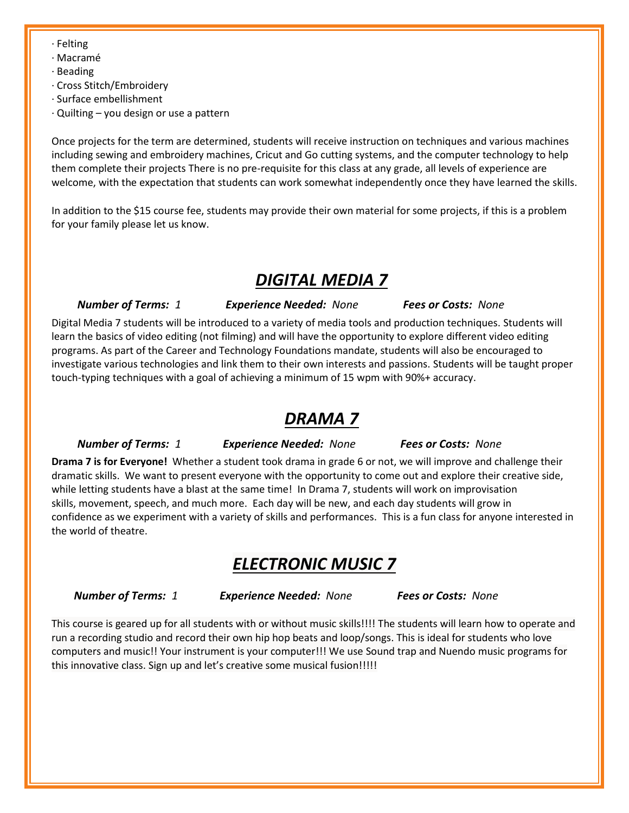- · Felting
- · Macramé
- · Beading
- · Cross Stitch/Embroidery
- · Surface embellishment
- · Quilting you design or use a pattern

Once projects for the term are determined, students will receive instruction on techniques and various machines including sewing and embroidery machines, Cricut and Go cutting systems, and the computer technology to help them complete their projects There is no pre-requisite for this class at any grade, all levels of experience are welcome, with the expectation that students can work somewhat independently once they have learned the skills.

In addition to the \$15 course fee, students may provide their own material for some projects, if this is a problem for your family please let us know.

### *DIGITAL MEDIA 7*

 *Number of Terms: 1 Experience Needed: None Fees or Costs: None*

Digital Media 7 students will be introduced to a variety of media tools and production techniques. Students will learn the basics of video editing (not filming) and will have the opportunity to explore different video editing programs. As part of the Career and Technology Foundations mandate, students will also be encouraged to investigate various technologies and link them to their own interests and passions. Students will be taught proper touch-typing techniques with a goal of achieving a minimum of 15 wpm with 90%+ accuracy.

### *DRAMA 7*

 *Number of Terms: 1 Experience Needed: None Fees or Costs: None*

**Drama 7 is for Everyone!** Whether a student took drama in grade 6 or not, we will improve and challenge their dramatic skills. We want to present everyone with the opportunity to come out and explore their creative side, while letting students have a blast at the same time! In Drama 7, students will work on improvisation skills, movement, speech, and much more. Each day will be new, and each day students will grow in confidence as we experiment with a variety of skills and performances. This is a fun class for anyone interested in the world of theatre.

# *ELECTRONIC MUSIC 7*

*Number of Terms: 1 Experience Needed: None Fees or Costs: None*

This course is geared up for all students with or without music skills!!!! The students will learn how to operate and run a recording studio and record their own hip hop beats and loop/songs. This is ideal for students who love computers and music!! Your instrument is your computer!!! We use Sound trap and Nuendo music programs for this innovative class. Sign up and let's creative some musical fusion!!!!!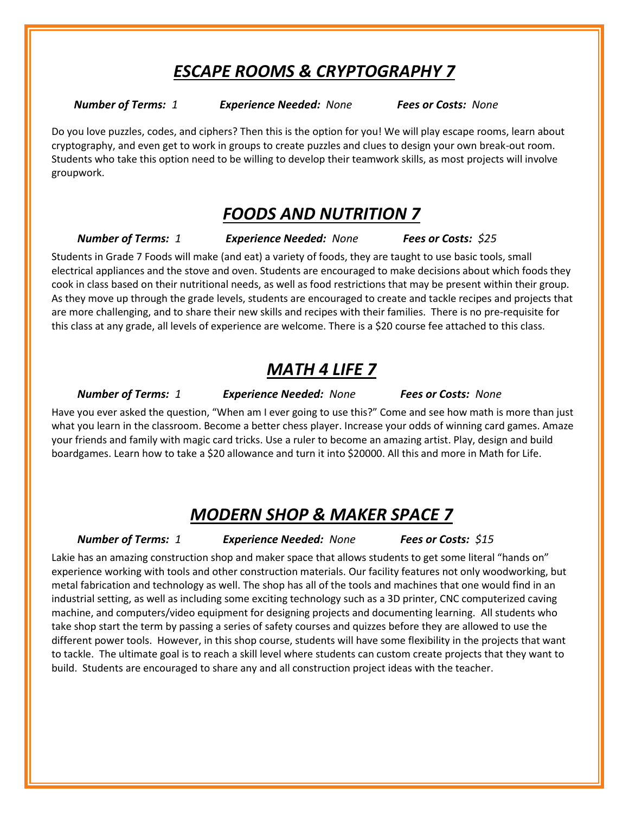### *ESCAPE ROOMS & CRYPTOGRAPHY 7*

*Number of Terms: 1 Experience Needed: None Fees or Costs: None*

Do you love puzzles, codes, and ciphers? Then this is the option for you! We will play escape rooms, learn about cryptography, and even get to work in groups to create puzzles and clues to design your own break-out room. Students who take this option need to be willing to develop their teamwork skills, as most projects will involve groupwork. 

#### *FOODS AND NUTRITION 7*

 *Number of Terms: 1 Experience Needed: None Fees or Costs: \$25*

Students in Grade 7 Foods will make (and eat) a variety of foods, they are taught to use basic tools, small electrical appliances and the stove and oven. Students are encouraged to make decisions about which foods they cook in class based on their nutritional needs, as well as food restrictions that may be present within their group. As they move up through the grade levels, students are encouraged to create and tackle recipes and projects that are more challenging, and to share their new skills and recipes with their families. There is no pre-requisite for this class at any grade, all levels of experience are welcome. There is a \$20 course fee attached to this class.

### *MATH 4 LIFE 7*

 *Number of Terms: 1 Experience Needed: None Fees or Costs: None*

Have you ever asked the question, "When am I ever going to use this?" Come and see how math is more than just what you learn in the classroom. Become a better chess player. Increase your odds of winning card games. Amaze your friends and family with magic card tricks. Use a ruler to become an amazing artist. Play, design and build boardgames. Learn how to take a \$20 allowance and turn it into \$20000. All this and more in Math for Life.

### *MODERN SHOP & MAKER SPACE 7*

 *Number of Terms: 1 Experience Needed: None Fees or Costs: \$15*

Lakie has an amazing construction shop and maker space that allows students to get some literal "hands on" experience working with tools and other construction materials. Our facility features not only woodworking, but metal fabrication and technology as well. The shop has all of the tools and machines that one would find in an industrial setting, as well as including some exciting technology such as a 3D printer, CNC computerized caving machine, and computers/video equipment for designing projects and documenting learning. All students who take shop start the term by passing a series of safety courses and quizzes before they are allowed to use the different power tools. However, in this shop course, students will have some flexibility in the projects that want to tackle. The ultimate goal is to reach a skill level where students can custom create projects that they want to build. Students are encouraged to share any and all construction project ideas with the teacher.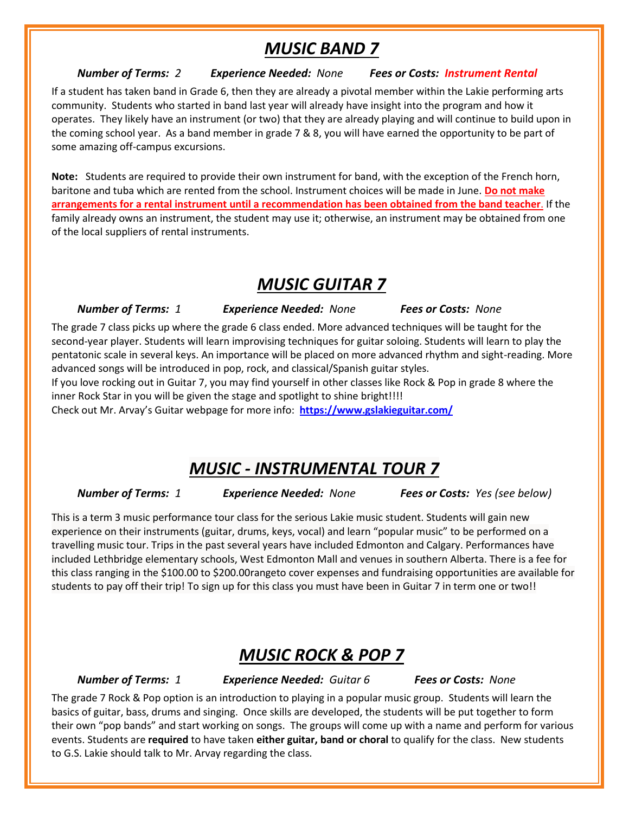### *MUSIC BAND 7*

#### *Number of Terms: 2 Experience Needed: None Fees or Costs: Instrument Rental*

If a student has taken band in Grade 6, then they are already a pivotal member within the Lakie performing arts community. Students who started in band last year will already have insight into the program and how it operates. They likely have an instrument (or two) that they are already playing and will continue to build upon in the coming school year. As a band member in grade 7 & 8, you will have earned the opportunity to be part of some amazing off-campus excursions.

**Note:** Students are required to provide their own instrument for band, with the exception of the French horn, baritone and tuba which are rented from the school. Instrument choices will be made in June. **Do not make arrangements for a rental instrument until a recommendation has been obtained from the band teacher**. If the family already owns an instrument, the student may use it; otherwise, an instrument may be obtained from one of the local suppliers of rental instruments.

### *MUSIC GUITAR 7*

 *Number of Terms: 1 Experience Needed: None Fees or Costs: None*

The grade 7 class picks up where the grade 6 class ended. More advanced techniques will be taught for the second-year player. Students will learn improvising techniques for guitar soloing. Students will learn to play the pentatonic scale in several keys. An importance will be placed on more advanced rhythm and sight-reading. More advanced songs will be introduced in pop, rock, and classical/Spanish guitar styles.

If you love rocking out in Guitar 7, you may find yourself in other classes like Rock & Pop in grade 8 where the inner Rock Star in you will be given the stage and spotlight to shine bright!!!!

Check out Mr. Arvay's Guitar webpage for more info: **<https://www.gslakieguitar.com/>**

### *MUSIC - INSTRUMENTAL TOUR 7*

 *Number of Terms: 1 Experience Needed: None Fees or Costs: Yes (see below)*

This is a term 3 music performance tour class for the serious Lakie music student. Students will gain new experience on their instruments (guitar, drums, keys, vocal) and learn "popular music" to be performed on a travelling music tour. Trips in the past several years have included Edmonton and Calgary. Performances have included Lethbridge elementary schools, West Edmonton Mall and venues in southern Alberta. There is a fee for this class ranging in the \$100.00 to \$200.00rangeto cover expenses and fundraising opportunities are available for students to pay off their trip! To sign up for this class you must have been in Guitar 7 in term one or two!!

# *MUSIC ROCK & POP 7*

 *Number of Terms: 1 Experience Needed: Guitar 6 Fees or Costs: None*

The grade 7 Rock & Pop option is an introduction to playing in a popular music group. Students will learn the basics of guitar, bass, drums and singing. Once skills are developed, the students will be put together to form their own "pop bands" and start working on songs. The groups will come up with a name and perform for various events. Students are **required** to have taken **either guitar, band or choral** to qualify for the class. New students to G.S. Lakie should talk to Mr. Arvay regarding the class.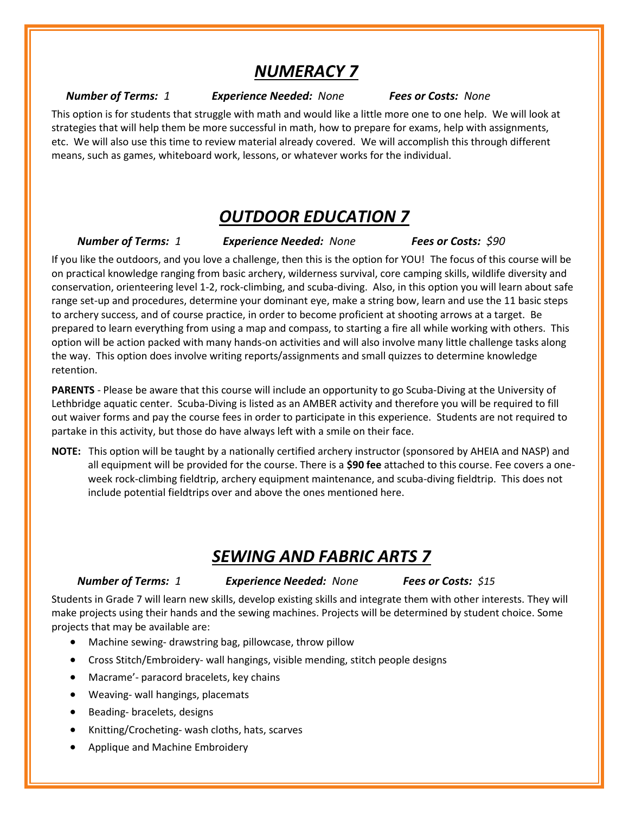# *NUMERACY 7*

#### *Number of Terms: 1 Experience Needed: None Fees or Costs: None*

This option is for students that struggle with math and would like a little more one to one help. We will look at strategies that will help them be more successful in math, how to prepare for exams, help with assignments, etc. We will also use this time to review material already covered. We will accomplish this through different means, such as games, whiteboard work, lessons, or whatever works for the individual.

#### *OUTDOOR EDUCATION 7*

 *Number of Terms: 1 Experience Needed: None Fees or Costs: \$90*

If you like the outdoors, and you love a challenge, then this is the option for YOU! The focus of this course will be on practical knowledge ranging from basic archery, wilderness survival, core camping skills, wildlife diversity and conservation, orienteering level 1-2, rock-climbing, and scuba-diving. Also, in this option you will learn about safe range set-up and procedures, determine your dominant eye, make a string bow, learn and use the 11 basic steps to archery success, and of course practice, in order to become proficient at shooting arrows at a target. Be prepared to learn everything from using a map and compass, to starting a fire all while working with others. This option will be action packed with many hands-on activities and will also involve many little challenge tasks along the way. This option does involve writing reports/assignments and small quizzes to determine knowledge retention.

**PARENTS** - Please be aware that this course will include an opportunity to go Scuba-Diving at the University of Lethbridge aquatic center. Scuba-Diving is listed as an AMBER activity and therefore you will be required to fill out waiver forms and pay the course fees in order to participate in this experience. Students are not required to partake in this activity, but those do have always left with a smile on their face.

**NOTE:** This option will be taught by a nationally certified archery instructor (sponsored by AHEIA and NASP) and all equipment will be provided for the course. There is a **\$90 fee** attached to this course. Fee covers a oneweek rock-climbing fieldtrip, archery equipment maintenance, and scuba-diving fieldtrip. This does not include potential fieldtrips over and above the ones mentioned here.

### *SEWING AND FABRIC ARTS 7*

 *Number of Terms: 1 Experience Needed: None Fees or Costs: \$15*

Students in Grade 7 will learn new skills, develop existing skills and integrate them with other interests. They will make projects using their hands and the sewing machines. Projects will be determined by student choice. Some projects that may be available are:

- Machine sewing- drawstring bag, pillowcase, throw pillow
- Cross Stitch/Embroidery- wall hangings, visible mending, stitch people designs
- Macrame'- paracord bracelets, key chains
- Weaving- wall hangings, placemats
- Beading- bracelets, designs
- Knitting/Crocheting- wash cloths, hats, scarves
- Applique and Machine Embroidery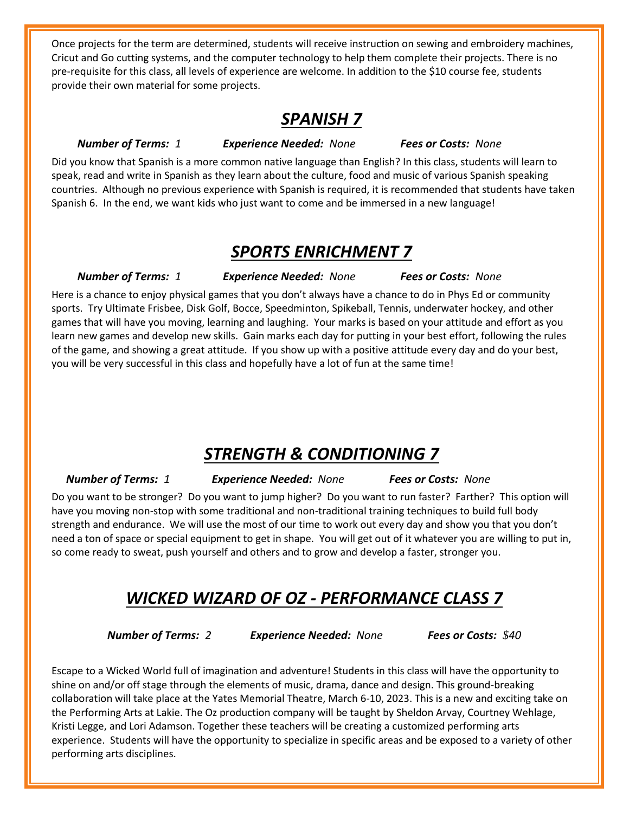Once projects for the term are determined, students will receive instruction on sewing and embroidery machines, Cricut and Go cutting systems, and the computer technology to help them complete their projects. There is no pre-requisite for this class, all levels of experience are welcome. In addition to the \$10 course fee, students provide their own material for some projects.

#### *SPANISH 7*

#### *Number of Terms: 1 Experience Needed: None Fees or Costs: None*

Did you know that Spanish is a more common native language than English? In this class, students will learn to speak, read and write in Spanish as they learn about the culture, food and music of various Spanish speaking countries. Although no previous experience with Spanish is required, it is recommended that students have taken Spanish 6. In the end, we want kids who just want to come and be immersed in a new language!

#### *SPORTS ENRICHMENT 7*

#### *Number of Terms: 1 Experience Needed: None Fees or Costs: None*

Here is a chance to enjoy physical games that you don't always have a chance to do in Phys Ed or community sports. Try Ultimate Frisbee, Disk Golf, Bocce, Speedminton, Spikeball, Tennis, underwater hockey, and other games that will have you moving, learning and laughing. Your marks is based on your attitude and effort as you learn new games and develop new skills. Gain marks each day for putting in your best effort, following the rules of the game, and showing a great attitude. If you show up with a positive attitude every day and do your best, you will be very successful in this class and hopefully have a lot of fun at the same time!

### *STRENGTH & CONDITIONING 7*

*Number of Terms: 1 Experience Needed: None Fees or Costs: None*

Do you want to be stronger? Do you want to jump higher? Do you want to run faster? Farther? This option will have you moving non-stop with some traditional and non-traditional training techniques to build full body strength and endurance. We will use the most of our time to work out every day and show you that you don't need a ton of space or special equipment to get in shape. You will get out of it whatever you are willing to put in, so come ready to sweat, push yourself and others and to grow and develop a faster, stronger you.

# *WICKED WIZARD OF OZ - PERFORMANCE CLASS 7*

*Number of Terms: 2 Experience Needed: None Fees or Costs: \$40*

Escape to a Wicked World full of imagination and adventure! Students in this class will have the opportunity to shine on and/or off stage through the elements of music, drama, dance and design. This ground-breaking collaboration will take place at the Yates Memorial Theatre, March 6-10, 2023. This is a new and exciting take on the Performing Arts at Lakie. The Oz production company will be taught by Sheldon Arvay, Courtney Wehlage, Kristi Legge, and Lori Adamson. Together these teachers will be creating a customized performing arts experience. Students will have the opportunity to specialize in specific areas and be exposed to a variety of other performing arts disciplines.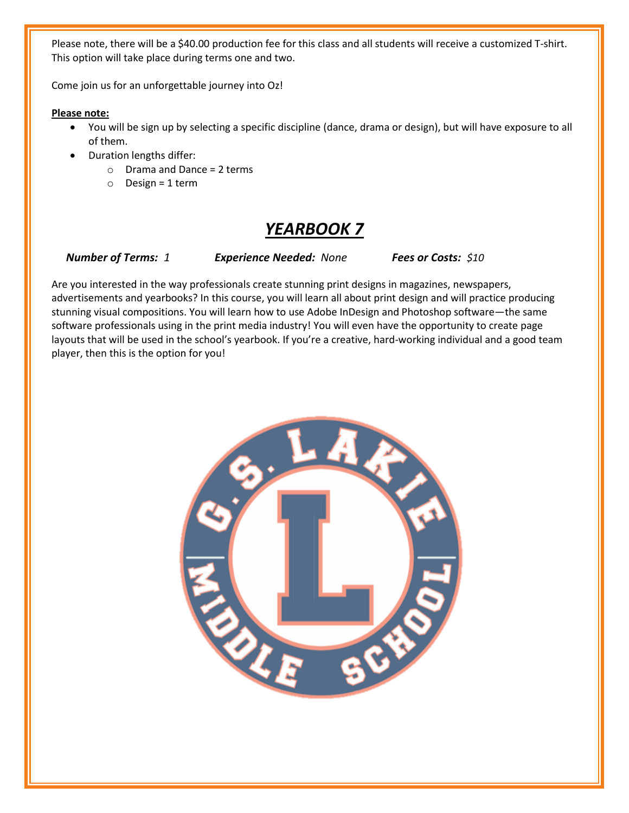Please note, there will be a \$40.00 production fee for this class and all students will receive a customized T-shirt. This option will take place during terms one and two.

Come join us for an unforgettable journey into Oz!

**Please note:**

- You will be sign up by selecting a specific discipline (dance, drama or design), but will have exposure to all of them.
- Duration lengths differ:
	- o Drama and Dance = 2 terms
	- $\circ$  Design = 1 term

# *YEARBOOK 7*

*Number of Terms: 1 Experience Needed: None Fees or Costs: \$10*

Are you interested in the way professionals create stunning print designs in magazines, newspapers, advertisements and yearbooks? In this course, you will learn all about print design and will practice producing stunning visual compositions. You will learn how to use Adobe InDesign and Photoshop software—the same software professionals using in the print media industry! You will even have the opportunity to create page layouts that will be used in the school's yearbook. If you're a creative, hard-working individual and a good team player, then this is the option for you!